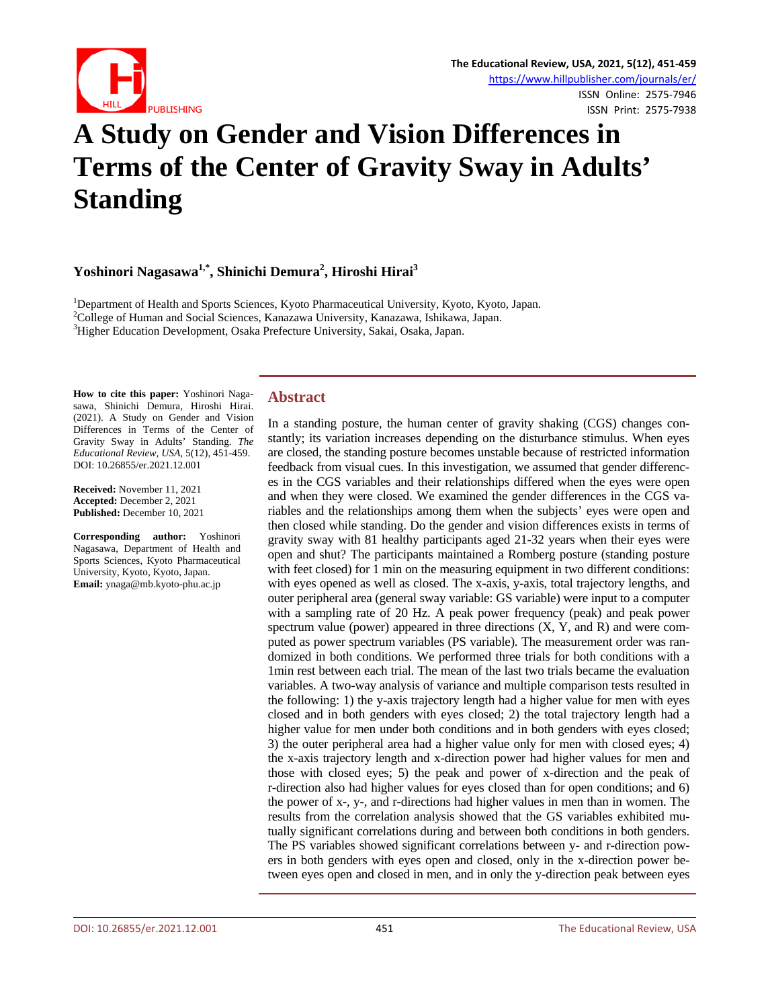

# **A Study on Gender and Vision Differences in Terms of the Center of Gravity Sway in Adults' Standing**

**Yoshinori Nagasawa1,\*, Shinichi Demura<sup>2</sup> , Hiroshi Hirai3**

<sup>1</sup>Department of Health and Sports Sciences, Kyoto Pharmaceutical University, Kyoto, Kyoto, Japan.<br><sup>2</sup>Collage of Human and Social Sciences, Kanazawa University, Kanazawa, Jahikawa, Japan. College of Human and Social Sciences, Kanazawa University, Kanazawa, Ishikawa, Japan. <sup>3</sup> Higher Education Development, Osaka Prefecture University, Sakai, Osaka, Japan.

**How to cite this paper:** Yoshinori Nagasawa, Shinichi Demura, Hiroshi Hirai. (2021). A Study on Gender and Vision Differences in Terms of the Center of Gravity Sway in Adults' Standing. *The Educational Review, USA*, 5(12), 451-459. DOI: 10.26855/er.2021.12.001

**Received:** November 11, 2021 **Accepted:** December 2, 2021 **Published:** December 10, 2021

**Corresponding author:** Yoshinori Nagasawa, Department of Health and Sports Sciences, Kyoto Pharmaceutical University, Kyoto, Kyoto, Japan. **Email:** ynaga@mb.kyoto-phu.ac.jp

# **Abstract**

In a standing posture, the human center of gravity shaking (CGS) changes constantly; its variation increases depending on the disturbance stimulus. When eyes are closed, the standing posture becomes unstable because of restricted information feedback from visual cues. In this investigation, we assumed that gender differences in the CGS variables and their relationships differed when the eyes were open and when they were closed. We examined the gender differences in the CGS variables and the relationships among them when the subjects' eyes were open and then closed while standing. Do the gender and vision differences exists in terms of gravity sway with 81 healthy participants aged 21-32 years when their eyes were open and shut? The participants maintained a Romberg posture (standing posture with feet closed) for 1 min on the measuring equipment in two different conditions: with eyes opened as well as closed. The x-axis, y-axis, total trajectory lengths, and outer peripheral area (general sway variable: GS variable) were input to a computer with a sampling rate of 20 Hz. A peak power frequency (peak) and peak power spectrum value (power) appeared in three directions  $(X, Y, and R)$  and were computed as power spectrum variables (PS variable). The measurement order was randomized in both conditions. We performed three trials for both conditions with a 1min rest between each trial. The mean of the last two trials became the evaluation variables. A two-way analysis of variance and multiple comparison tests resulted in the following: 1) the y-axis trajectory length had a higher value for men with eyes closed and in both genders with eyes closed; 2) the total trajectory length had a higher value for men under both conditions and in both genders with eyes closed; 3) the outer peripheral area had a higher value only for men with closed eyes; 4) the x-axis trajectory length and x-direction power had higher values for men and those with closed eyes; 5) the peak and power of x-direction and the peak of r-direction also had higher values for eyes closed than for open conditions; and 6) the power of x-, y-, and r-directions had higher values in men than in women. The results from the correlation analysis showed that the GS variables exhibited mutually significant correlations during and between both conditions in both genders. The PS variables showed significant correlations between y- and r-direction powers in both genders with eyes open and closed, only in the x-direction power between eyes open and closed in men, and in only the y-direction peak between eyes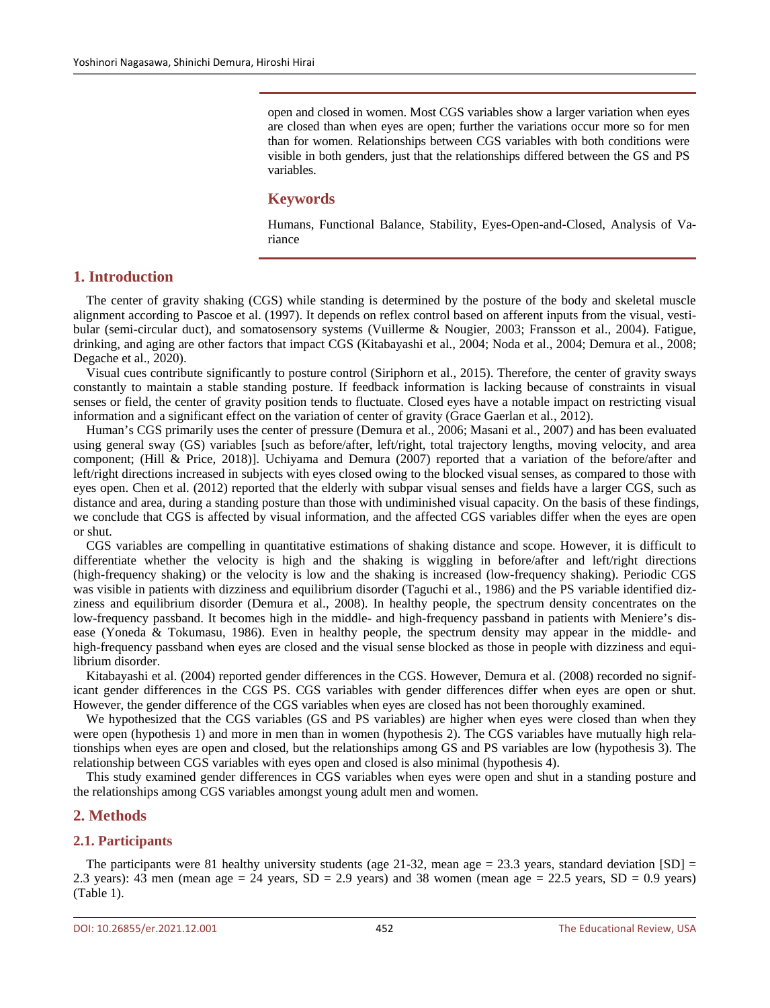open and closed in women. Most CGS variables show a larger variation when eyes are closed than when eyes are open; further the variations occur more so for men than for women. Relationships between CGS variables with both conditions were visible in both genders, just that the relationships differed between the GS and PS variables.

#### **Keywords**

Humans, Functional Balance, Stability, Eyes-Open-and-Closed, Analysis of Variance

# **1. Introduction**

The center of gravity shaking (CGS) while standing is determined by the posture of the body and skeletal muscle alignment according to Pascoe et al. (1997). It depends on reflex control based on afferent inputs from the visual, vestibular (semi-circular duct), and somatosensory systems (Vuillerme & Nougier, 2003; Fransson et al., 2004). Fatigue, drinking, and aging are other factors that impact CGS (Kitabayashi et al., 2004; Noda et al., 2004; Demura et al., 2008; Degache et al., 2020).

Visual cues contribute significantly to posture control (Siriphorn et al., 2015). Therefore, the center of gravity sways constantly to maintain a stable standing posture. If feedback information is lacking because of constraints in visual senses or field, the center of gravity position tends to fluctuate. Closed eyes have a notable impact on restricting visual information and a significant effect on the variation of center of gravity (Grace Gaerlan et al., 2012).

Human's CGS primarily uses the center of pressure (Demura et al., 2006; Masani et al., 2007) and has been evaluated using general sway (GS) variables [such as before/after, left/right, total trajectory lengths, moving velocity, and area component; (Hill & Price, 2018)]. Uchiyama and Demura (2007) reported that a variation of the before/after and left/right directions increased in subjects with eyes closed owing to the blocked visual senses, as compared to those with eyes open. Chen et al. (2012) reported that the elderly with subpar visual senses and fields have a larger CGS, such as distance and area, during a standing posture than those with undiminished visual capacity. On the basis of these findings, we conclude that CGS is affected by visual information, and the affected CGS variables differ when the eyes are open or shut.

CGS variables are compelling in quantitative estimations of shaking distance and scope. However, it is difficult to differentiate whether the velocity is high and the shaking is wiggling in before/after and left/right directions (high-frequency shaking) or the velocity is low and the shaking is increased (low-frequency shaking). Periodic CGS was visible in patients with dizziness and equilibrium disorder (Taguchi et al., 1986) and the PS variable identified dizziness and equilibrium disorder (Demura et al., 2008). In healthy people, the spectrum density concentrates on the low-frequency passband. It becomes high in the middle- and high-frequency passband in patients with Meniere's disease (Yoneda & Tokumasu, 1986). Even in healthy people, the spectrum density may appear in the middle- and high-frequency passband when eyes are closed and the visual sense blocked as those in people with dizziness and equilibrium disorder.

Kitabayashi et al. (2004) reported gender differences in the CGS. However, Demura et al. (2008) recorded no significant gender differences in the CGS PS. CGS variables with gender differences differ when eyes are open or shut. However, the gender difference of the CGS variables when eyes are closed has not been thoroughly examined.

We hypothesized that the CGS variables (GS and PS variables) are higher when eyes were closed than when they were open (hypothesis 1) and more in men than in women (hypothesis 2). The CGS variables have mutually high relationships when eyes are open and closed, but the relationships among GS and PS variables are low (hypothesis 3). The relationship between CGS variables with eyes open and closed is also minimal (hypothesis 4).

This study examined gender differences in CGS variables when eyes were open and shut in a standing posture and the relationships among CGS variables amongst young adult men and women.

## **2. Methods**

#### **2.1. Participants**

The participants were 81 healthy university students (age 21-32, mean age  $= 23.3$  years, standard deviation [SD]  $=$ 2.3 years): 43 men (mean age  $= 24$  years, SD  $= 2.9$  years) and 38 women (mean age  $= 22.5$  years, SD  $= 0.9$  years) (Table 1).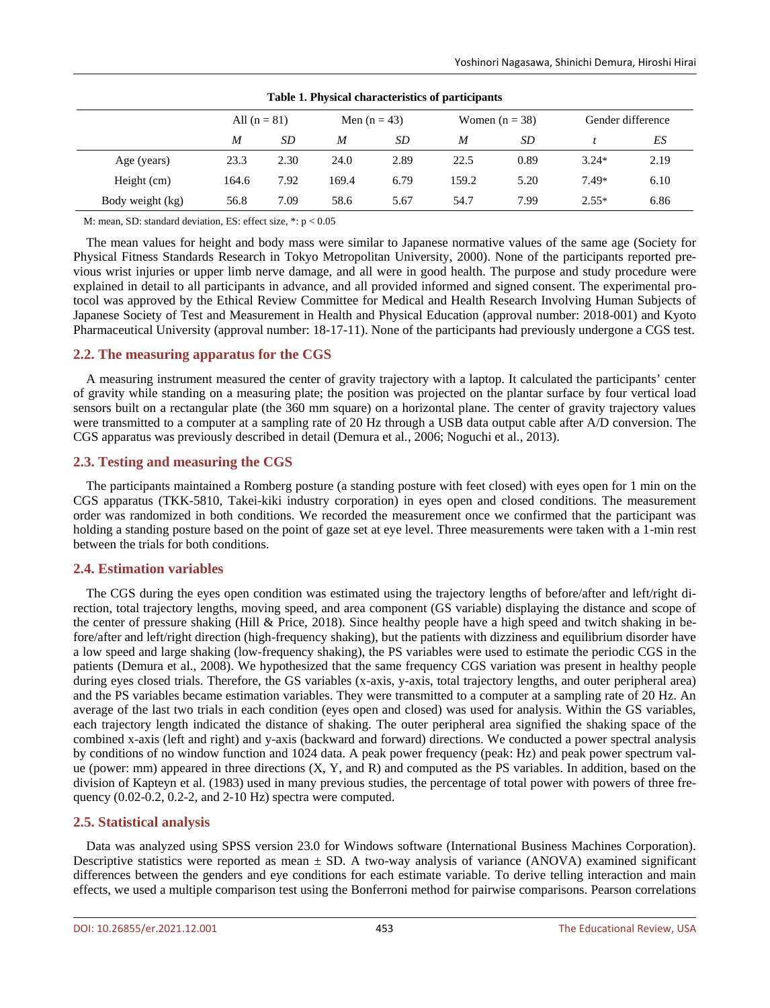|                  |                |      |       |                | Table 1. Physical characteristics of participants |                  |         |                   |
|------------------|----------------|------|-------|----------------|---------------------------------------------------|------------------|---------|-------------------|
|                  | All $(n = 81)$ |      |       | Men $(n = 43)$ |                                                   | Women $(n = 38)$ |         | Gender difference |
|                  | M              | SD   | M     | SD             | M                                                 | SD               |         | ES                |
| Age (years)      | 23.3           | 2.30 | 24.0  | 2.89           | 22.5                                              | 0.89             | $3.24*$ | 2.19              |
| Height (cm)      | 164.6          | 7.92 | 169.4 | 6.79           | 159.2                                             | 5.20             | 7.49*   | 6.10              |
| Body weight (kg) | 56.8           | 7.09 | 58.6  | 5.67           | 54.7                                              | 7.99             | $2.55*$ | 6.86              |

**Table 1. Physical characteristics of participants**

M: mean, SD: standard deviation, ES: effect size, \*: p < 0.05

The mean values for height and body mass were similar to Japanese normative values of the same age (Society for Physical Fitness Standards Research in Tokyo Metropolitan University, 2000). None of the participants reported previous wrist injuries or upper limb nerve damage, and all were in good health. The purpose and study procedure were explained in detail to all participants in advance, and all provided informed and signed consent. The experimental protocol was approved by the Ethical Review Committee for Medical and Health Research Involving Human Subjects of Japanese Society of Test and Measurement in Health and Physical Education (approval number: 2018-001) and Kyoto Pharmaceutical University (approval number: 18-17-11). None of the participants had previously undergone a CGS test.

## **2.2. The measuring apparatus for the CGS**

A measuring instrument measured the center of gravity trajectory with a laptop. It calculated the participants' center of gravity while standing on a measuring plate; the position was projected on the plantar surface by four vertical load sensors built on a rectangular plate (the 360 mm square) on a horizontal plane. The center of gravity trajectory values were transmitted to a computer at a sampling rate of 20 Hz through a USB data output cable after A/D conversion. The CGS apparatus was previously described in detail (Demura et al., 2006; Noguchi et al., 2013).

## **2.3. Testing and measuring the CGS**

The participants maintained a Romberg posture (a standing posture with feet closed) with eyes open for 1 min on the CGS apparatus (TKK-5810, Takei-kiki industry corporation) in eyes open and closed conditions. The measurement order was randomized in both conditions. We recorded the measurement once we confirmed that the participant was holding a standing posture based on the point of gaze set at eye level. Three measurements were taken with a 1-min rest between the trials for both conditions.

## **2.4. Estimation variables**

The CGS during the eyes open condition was estimated using the trajectory lengths of before/after and left/right direction, total trajectory lengths, moving speed, and area component (GS variable) displaying the distance and scope of the center of pressure shaking (Hill & Price, 2018). Since healthy people have a high speed and twitch shaking in before/after and left/right direction (high-frequency shaking), but the patients with dizziness and equilibrium disorder have a low speed and large shaking (low-frequency shaking), the PS variables were used to estimate the periodic CGS in the patients (Demura et al., 2008). We hypothesized that the same frequency CGS variation was present in healthy people during eyes closed trials. Therefore, the GS variables (x-axis, y-axis, total trajectory lengths, and outer peripheral area) and the PS variables became estimation variables. They were transmitted to a computer at a sampling rate of 20 Hz. An average of the last two trials in each condition (eyes open and closed) was used for analysis. Within the GS variables, each trajectory length indicated the distance of shaking. The outer peripheral area signified the shaking space of the combined x-axis (left and right) and y-axis (backward and forward) directions. We conducted a power spectral analysis by conditions of no window function and 1024 data. A peak power frequency (peak: Hz) and peak power spectrum value (power: mm) appeared in three directions (X, Y, and R) and computed as the PS variables. In addition, based on the division of Kapteyn et al. (1983) used in many previous studies, the percentage of total power with powers of three frequency (0.02-0.2, 0.2-2, and 2-10 Hz) spectra were computed.

## **2.5. Statistical analysis**

Data was analyzed using SPSS version 23.0 for Windows software (International Business Machines Corporation). Descriptive statistics were reported as mean  $\pm$  SD. A two-way analysis of variance (ANOVA) examined significant differences between the genders and eye conditions for each estimate variable. To derive telling interaction and main effects, we used a multiple comparison test using the Bonferroni method for pairwise comparisons. Pearson correlations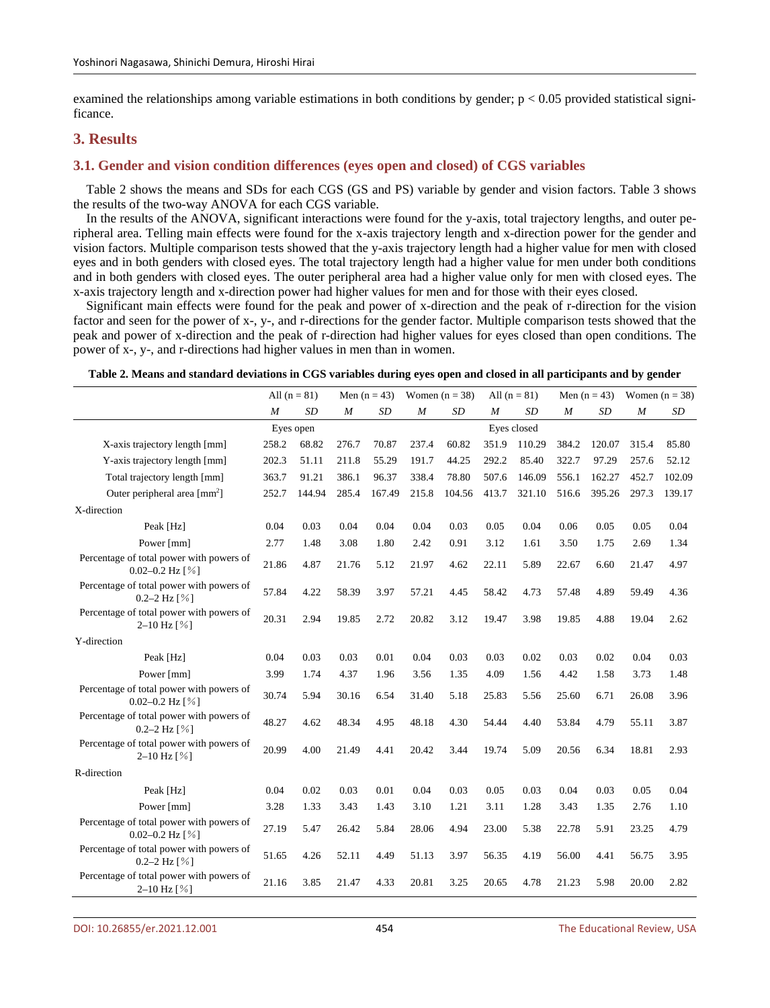examined the relationships among variable estimations in both conditions by gender;  $p < 0.05$  provided statistical significance.

# **3. Results**

#### **3.1. Gender and vision condition differences (eyes open and closed) of CGS variables**

Table 2 shows the means and SDs for each CGS (GS and PS) variable by gender and vision factors. Table 3 shows the results of the two-way ANOVA for each CGS variable.

In the results of the ANOVA, significant interactions were found for the y-axis, total trajectory lengths, and outer peripheral area. Telling main effects were found for the x-axis trajectory length and x-direction power for the gender and vision factors. Multiple comparison tests showed that the y-axis trajectory length had a higher value for men with closed eyes and in both genders with closed eyes. The total trajectory length had a higher value for men under both conditions and in both genders with closed eyes. The outer peripheral area had a higher value only for men with closed eyes. The x-axis trajectory length and x-direction power had higher values for men and for those with their eyes closed.

Significant main effects were found for the peak and power of x-direction and the peak of r-direction for the vision factor and seen for the power of x-, y-, and r-directions for the gender factor. Multiple comparison tests showed that the peak and power of x-direction and the peak of r-direction had higher values for eyes closed than open conditions. The power of x-, y-, and r-directions had higher values in men than in women.

| Table 2. Means and standard deviations in CGS variables during eyes open and closed in all participants and by gender |  |  |  |  |
|-----------------------------------------------------------------------------------------------------------------------|--|--|--|--|
|                                                                                                                       |  |  |  |  |

|                                                                            | All $(n = 81)$   |           | Men $(n = 43)$   |        | Women $(n = 38)$ |        |       | All $(n = 81)$ |                  | Men $(n = 43)$ | Women $(n = 38)$ |        |
|----------------------------------------------------------------------------|------------------|-----------|------------------|--------|------------------|--------|-------|----------------|------------------|----------------|------------------|--------|
|                                                                            | $\boldsymbol{M}$ | <b>SD</b> | $\boldsymbol{M}$ | SD     | $\boldsymbol{M}$ | SD     | M     | <b>SD</b>      | $\boldsymbol{M}$ | SD             | $\boldsymbol{M}$ | SD     |
|                                                                            |                  | Eyes open |                  |        |                  |        |       | Eyes closed    |                  |                |                  |        |
| X-axis trajectory length [mm]                                              | 258.2            | 68.82     | 276.7            | 70.87  | 237.4            | 60.82  | 351.9 | 110.29         | 384.2            | 120.07         | 315.4            | 85.80  |
| Y-axis trajectory length [mm]                                              | 202.3            | 51.11     | 211.8            | 55.29  | 191.7            | 44.25  | 292.2 | 85.40          | 322.7            | 97.29          | 257.6            | 52.12  |
| Total trajectory length [mm]                                               | 363.7            | 91.21     | 386.1            | 96.37  | 338.4            | 78.80  | 507.6 | 146.09         | 556.1            | 162.27         | 452.7            | 102.09 |
| Outer peripheral area $\lceil \text{mm}^2 \rceil$                          | 252.7            | 144.94    | 285.4            | 167.49 | 215.8            | 104.56 | 413.7 | 321.10         | 516.6            | 395.26         | 297.3            | 139.17 |
| X-direction                                                                |                  |           |                  |        |                  |        |       |                |                  |                |                  |        |
| Peak [Hz]                                                                  | 0.04             | 0.03      | 0.04             | 0.04   | 0.04             | 0.03   | 0.05  | 0.04           | 0.06             | 0.05           | 0.05             | 0.04   |
| Power [mm]                                                                 | 2.77             | 1.48      | 3.08             | 1.80   | 2.42             | 0.91   | 3.12  | 1.61           | 3.50             | 1.75           | 2.69             | 1.34   |
| Percentage of total power with powers of<br>0.02-0.2 Hz $\lceil \% \rceil$ | 21.86            | 4.87      | 21.76            | 5.12   | 21.97            | 4.62   | 22.11 | 5.89           | 22.67            | 6.60           | 21.47            | 4.97   |
| Percentage of total power with powers of<br>0.2-2 Hz $[%]$                 | 57.84            | 4.22      | 58.39            | 3.97   | 57.21            | 4.45   | 58.42 | 4.73           | 57.48            | 4.89           | 59.49            | 4.36   |
| Percentage of total power with powers of<br>$2-10$ Hz $\left[\% \right]$   | 20.31            | 2.94      | 19.85            | 2.72   | 20.82            | 3.12   | 19.47 | 3.98           | 19.85            | 4.88           | 19.04            | 2.62   |
| Y-direction                                                                |                  |           |                  |        |                  |        |       |                |                  |                |                  |        |
| Peak [Hz]                                                                  | 0.04             | 0.03      | 0.03             | 0.01   | 0.04             | 0.03   | 0.03  | 0.02           | 0.03             | 0.02           | 0.04             | 0.03   |
| Power [mm]                                                                 | 3.99             | 1.74      | 4.37             | 1.96   | 3.56             | 1.35   | 4.09  | 1.56           | 4.42             | 1.58           | 3.73             | 1.48   |
| Percentage of total power with powers of<br>0.02-0.2 Hz $\lceil \% \rceil$ | 30.74            | 5.94      | 30.16            | 6.54   | 31.40            | 5.18   | 25.83 | 5.56           | 25.60            | 6.71           | 26.08            | 3.96   |
| Percentage of total power with powers of<br>0.2-2 Hz $[%]$                 | 48.27            | 4.62      | 48.34            | 4.95   | 48.18            | 4.30   | 54.44 | 4.40           | 53.84            | 4.79           | 55.11            | 3.87   |
| Percentage of total power with powers of<br>$2-10$ Hz $\lceil\% \rceil$    | 20.99            | 4.00      | 21.49            | 4.41   | 20.42            | 3.44   | 19.74 | 5.09           | 20.56            | 6.34           | 18.81            | 2.93   |
| R-direction                                                                |                  |           |                  |        |                  |        |       |                |                  |                |                  |        |
| Peak [Hz]                                                                  | 0.04             | 0.02      | 0.03             | 0.01   | 0.04             | 0.03   | 0.05  | 0.03           | 0.04             | 0.03           | 0.05             | 0.04   |
| Power [mm]                                                                 | 3.28             | 1.33      | 3.43             | 1.43   | 3.10             | 1.21   | 3.11  | 1.28           | 3.43             | 1.35           | 2.76             | 1.10   |
| Percentage of total power with powers of<br>0.02-0.2 Hz $[%]$              | 27.19            | 5.47      | 26.42            | 5.84   | 28.06            | 4.94   | 23.00 | 5.38           | 22.78            | 5.91           | 23.25            | 4.79   |
| Percentage of total power with powers of<br>0.2-2 Hz $[%]$                 | 51.65            | 4.26      | 52.11            | 4.49   | 51.13            | 3.97   | 56.35 | 4.19           | 56.00            | 4.41           | 56.75            | 3.95   |
| Percentage of total power with powers of<br>2–10 Hz $[%]$                  | 21.16            | 3.85      | 21.47            | 4.33   | 20.81            | 3.25   | 20.65 | 4.78           | 21.23            | 5.98           | 20.00            | 2.82   |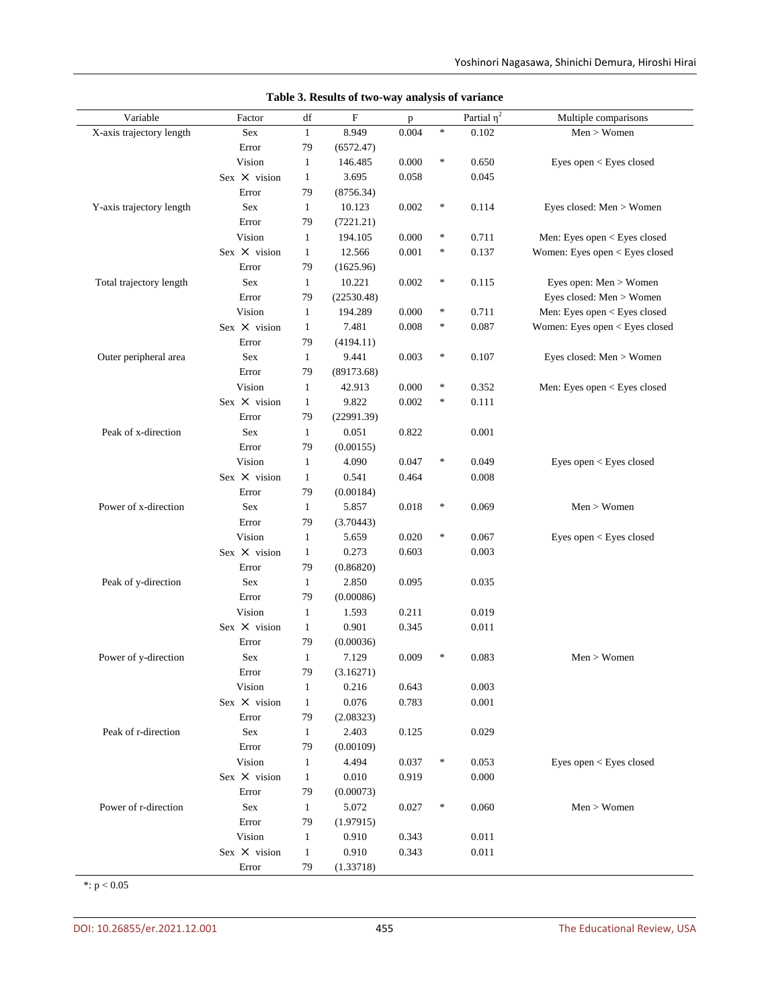| Variable                 | Factor              | df           | F          | p     |        | Partial $\overline{\eta^2}$ | Multiple comparisons           |
|--------------------------|---------------------|--------------|------------|-------|--------|-----------------------------|--------------------------------|
| X-axis trajectory length | Sex                 | $\mathbf{1}$ | 8.949      | 0.004 | $\ast$ | 0.102                       | Men > Women                    |
|                          | Error               | 79           | (6572.47)  |       |        |                             |                                |
|                          | Vision              | $\mathbf{1}$ | 146.485    | 0.000 | $\ast$ | 0.650                       | Eyes open < Eyes closed        |
|                          | Sex $\times$ vision | $\mathbf{1}$ | 3.695      | 0.058 |        | 0.045                       |                                |
|                          | Error               | 79           | (8756.34)  |       |        |                             |                                |
| Y-axis trajectory length | Sex                 | $\mathbf{1}$ | 10.123     | 0.002 | ∗      | 0.114                       | Eyes closed: Men > Women       |
|                          | Error               | 79           | (7221.21)  |       |        |                             |                                |
|                          | Vision              | $\mathbf{1}$ | 194.105    | 0.000 | ∗      | 0.711                       | Men: Eyes open < Eyes closed   |
|                          | Sex $\times$ vision | $\mathbf{1}$ | 12.566     | 0.001 | ∗      | 0.137                       | Women: Eyes open < Eyes closed |
|                          | Error               | 79           | (1625.96)  |       |        |                             |                                |
| Total trajectory length  | Sex                 | $\mathbf{1}$ | 10.221     | 0.002 | ∗      | 0.115                       | Eyes open: Men > Women         |
|                          | Error               | 79           | (22530.48) |       |        |                             | Eyes closed: Men > Women       |
|                          | Vision              | $\mathbf{1}$ | 194.289    | 0.000 | $\ast$ | 0.711                       | Men: Eyes open < Eyes closed   |
|                          | Sex $\times$ vision | $\mathbf{1}$ | 7.481      | 0.008 | $\ast$ | 0.087                       | Women: Eyes open < Eyes closed |
|                          | Error               | 79           | (4194.11)  |       |        |                             |                                |
| Outer peripheral area    | Sex                 | $\mathbf{1}$ | 9.441      | 0.003 | $\ast$ | 0.107                       | Eyes closed: Men > Women       |
|                          | Error               | 79           | (89173.68) |       |        |                             |                                |
|                          | Vision              | $\mathbf{1}$ | 42.913     | 0.000 | $\ast$ | 0.352                       | Men: Eyes open < Eyes closed   |
|                          | Sex $\times$ vision | $\mathbf{1}$ | 9.822      | 0.002 | $\ast$ | 0.111                       |                                |
|                          | Error               | 79           | (22991.39) |       |        |                             |                                |
| Peak of x-direction      | Sex                 | $\mathbf{1}$ | 0.051      | 0.822 |        | 0.001                       |                                |
|                          | Error               | 79           | (0.00155)  |       |        |                             |                                |
|                          | Vision              | $\mathbf{1}$ | 4.090      | 0.047 | $\ast$ | 0.049                       | Eyes open < Eyes closed        |
|                          | Sex $\times$ vision | $\mathbf{1}$ | 0.541      | 0.464 |        | 0.008                       |                                |
|                          | Error               | 79           | (0.00184)  |       |        |                             |                                |
| Power of x-direction     | Sex                 | $\mathbf{1}$ | 5.857      | 0.018 | ∗      | 0.069                       | Men > Women                    |
|                          | Error               | 79           | (3.70443)  |       |        |                             |                                |
|                          | Vision              | $\mathbf{1}$ | 5.659      | 0.020 | $\ast$ | 0.067                       | Eyes open < Eyes closed        |
|                          | Sex $\times$ vision | $\mathbf{1}$ | 0.273      | 0.603 |        | 0.003                       |                                |
|                          | Error               | 79           | (0.86820)  |       |        |                             |                                |
| Peak of y-direction      | Sex                 | $\mathbf{1}$ | 2.850      | 0.095 |        | 0.035                       |                                |
|                          | Error               | 79           | (0.00086)  |       |        |                             |                                |
|                          | Vision              | $\mathbf{1}$ | 1.593      | 0.211 |        | 0.019                       |                                |
|                          | $Sex \times vision$ | $\mathbf{1}$ | 0.901      | 0.345 |        | 0.011                       |                                |
|                          | Error               | 79           | (0.00036)  |       |        |                             |                                |
| Power of y-direction     | Sex                 | $\mathbf{1}$ | 7.129      | 0.009 | $\ast$ | 0.083                       | Men > Women                    |
|                          | Error               | 79           | (3.16271)  |       |        |                             |                                |
|                          | Vision              | $\mathbf{1}$ | 0.216      | 0.643 |        | 0.003                       |                                |
|                          | Sex $\times$ vision | $\mathbf{1}$ | 0.076      | 0.783 |        | 0.001                       |                                |
|                          | Error               | 79           | (2.08323)  |       |        |                             |                                |
| Peak of r-direction      | Sex                 | $\mathbf{1}$ | 2.403      | 0.125 |        | 0.029                       |                                |
|                          | Error               | 79           | (0.00109)  |       |        |                             |                                |
|                          | Vision              | $\mathbf{1}$ | 4.494      | 0.037 | ∗      | 0.053                       | Eyes open < Eyes closed        |
|                          | Sex $\times$ vision | $\mathbf{1}$ | 0.010      | 0.919 |        | 0.000                       |                                |
|                          | Error               | 79           | (0.00073)  |       |        |                             |                                |
| Power of r-direction     | Sex                 | $\mathbf{1}$ | 5.072      | 0.027 | ∗      | 0.060                       | Men > Women                    |
|                          | Error               | 79           | (1.97915)  |       |        |                             |                                |
|                          | Vision              | $\mathbf{1}$ | 0.910      | 0.343 |        | 0.011                       |                                |
|                          | Sex $\times$ vision | $\mathbf{1}$ | 0.910      | 0.343 |        | 0.011                       |                                |
|                          | Error               | 79           | (1.33718)  |       |        |                             |                                |

**Table 3. Results of two-way analysis of variance**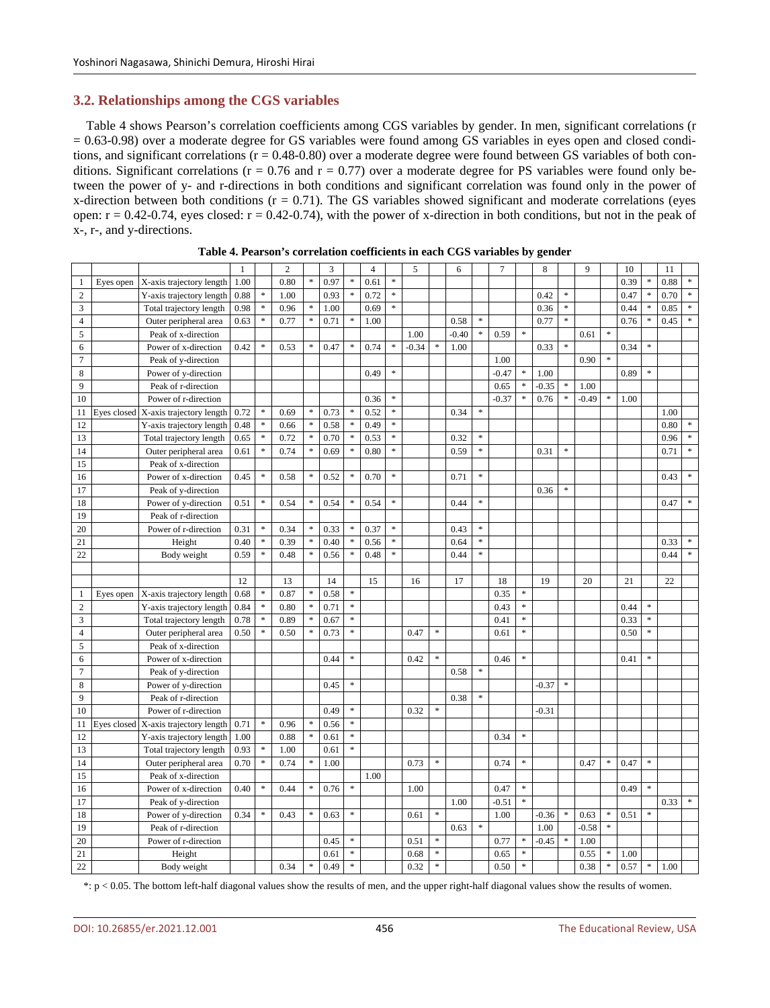# **3.2. Relationships among the CGS variables**

Table 4 shows Pearson's correlation coefficients among CGS variables by gender. In men, significant correlations (r  $= 0.63-0.98$ ) over a moderate degree for GS variables were found among GS variables in eyes open and closed conditions, and significant correlations  $(r = 0.48-0.80)$  over a moderate degree were found between GS variables of both conditions. Significant correlations ( $r = 0.76$  and  $r = 0.77$ ) over a moderate degree for PS variables were found only between the power of y- and r-directions in both conditions and significant correlation was found only in the power of x-direction between both conditions  $(r = 0.71)$ . The GS variables showed significant and moderate correlations (eyes open:  $r = 0.42 - 0.74$ , eyes closed:  $r = 0.42 - 0.74$ ), with the power of x-direction in both conditions, but not in the peak of x-, r-, and y-directions.

|                |             |                          | $\mathbf{1}$ |               | $\overline{c}$ |           | 3    |        | $\overline{4}$ |                            | 5       |               | 6       |               | $\overline{7}$ |           | 8       |               | 9       |                                   | 10   |                            | 11   |               |
|----------------|-------------|--------------------------|--------------|---------------|----------------|-----------|------|--------|----------------|----------------------------|---------|---------------|---------|---------------|----------------|-----------|---------|---------------|---------|-----------------------------------|------|----------------------------|------|---------------|
| $\mathbf{1}$   | Eyes open   | X-axis trajectory length | 1.00         |               | 0.80           | ×,        | 0.97 | $\ast$ | 0.61           | $\ast$                     |         |               |         |               |                |           |         |               |         |                                   | 0.39 | $\ast$                     | 0.88 |               |
| $\overline{2}$ |             | Y-axis trajectory length | 0.88         | $\frac{1}{2}$ | 1.00           |           | 0.93 | $\ast$ | 0.72           | $\ast$                     |         |               |         |               |                |           | 0.42    | *             |         |                                   | 0.47 | $\ast$                     | 0.70 | $\ast$        |
| $\mathfrak z$  |             | Total trajectory length  | 0.98         | $\ast$        | 0.96           | $\ast$    | 1.00 |        | 0.69           | $\approx$                  |         |               |         |               |                |           | 0.36    | ×.            |         |                                   | 0.44 | $\ast$                     | 0.85 | $\ast$        |
| $\overline{4}$ |             | Outer peripheral area    | 0.63         | $\ast$        | 0.77           | ×         | 0.71 | $\ast$ | 1.00           |                            |         |               | 0.58    | $\frac{1}{2}$ |                |           | 0.77    | *.            |         |                                   | 0.76 | $\frac{1}{2}$              | 0.45 | $\ast$        |
| 5              |             | Peak of x-direction      |              |               |                |           |      |        |                |                            | 1.00    |               | $-0.40$ | $\ast$        | 0.59           | $\ast$    |         |               | 0.61    | $\frac{d\mathbf{r}}{d\mathbf{r}}$ |      |                            |      |               |
| 6              |             | Power of x-direction     | 0.42         | *             | 0.53           | ×         | 0.47 | $\ast$ | 0.74           | $\ensuremath{\mathrm{sk}}$ | $-0.34$ | ×,            | 1.00    |               |                |           | 0.33    | *.            |         |                                   | 0.34 | $\frac{1}{2}$              |      |               |
| $\overline{7}$ |             | Peak of y-direction      |              |               |                |           |      |        |                |                            |         |               |         |               | 1.00           |           |         |               | 0.90    |                                   |      |                            |      |               |
| 8              |             | Power of y-direction     |              |               |                |           |      |        | 0.49           | $\ast$                     |         |               |         |               | $-0.47$        | $\ast$    | 1.00    |               |         |                                   | 0.89 | $\frac{1}{2}$              |      |               |
| 9              |             | Peak of r-direction      |              |               |                |           |      |        |                |                            |         |               |         |               | 0.65           |           | $-0.35$ | $\frac{1}{2}$ | 1.00    |                                   |      |                            |      |               |
| 10             |             | Power of r-direction     |              |               |                |           |      |        | 0.36           | $\ast$                     |         |               |         |               | $-0.37$        |           | 0.76    | *.            | $-0.49$ | \$                                | 1.00 |                            |      |               |
| 11             | Eyes closed | X-axis trajectory length | 0.72         | $\ast$        | 0.69           | ×         | 0.73 | $\ast$ | 0.52           | $\approx$                  |         |               | 0.34    | $\ast$        |                |           |         |               |         |                                   |      |                            | 1.00 |               |
| 12             |             | Y-axis trajectory length | 0.48         | $\ast$        | 0.66           | ×         | 0.58 |        | 0.49           | $\ensuremath{\mathbf{x}}$  |         |               |         |               |                |           |         |               |         |                                   |      |                            | 0.80 | $\ast$        |
| 13             |             | Total trajectory length  | 0.65         | $\ast$        | 0.72           | $\ast$    | 0.70 | $\ast$ | 0.53           | $\approx$                  |         |               | 0.32    | $\ast$        |                |           |         |               |         |                                   |      |                            | 0.96 | $\ast$        |
| 14             |             | Outer peripheral area    | 0.61         | $\ast$        | 0.74           | ×         | 0.69 | $\ast$ | 0.80           | $\ast$                     |         |               | 0.59    | $\ast$        |                |           | 0.31    | *             |         |                                   |      |                            | 0.71 | $\frac{1}{2}$ |
| 15             |             | Peak of x-direction      |              |               |                |           |      |        |                |                            |         |               |         |               |                |           |         |               |         |                                   |      |                            |      |               |
| 16             |             | Power of x-direction     | 0.45         | $\ast$        | 0.58           | ×         | 0.52 | $\ast$ | 0.70           | $\approx$                  |         |               | 0.71    | $\ast$        |                |           |         |               |         |                                   |      |                            | 0.43 | $\ast$        |
| 17             |             | Peak of y-direction      |              |               |                |           |      |        |                |                            |         |               |         |               |                |           | 0.36    |               |         |                                   |      |                            |      |               |
| 18             |             | Power of y-direction     | 0.51         | $\frac{1}{2}$ | 0.54           | $\approx$ | 0.54 | $\ast$ | 0.54           | $\frac{1}{2}$              |         |               | 0.44    | $\frac{1}{2}$ |                |           |         |               |         |                                   |      |                            | 0.47 |               |
| 19             |             | Peak of r-direction      |              |               |                |           |      |        |                |                            |         |               |         |               |                |           |         |               |         |                                   |      |                            |      |               |
| 20             |             | Power of r-direction     | 0.31         | $\ast$        | 0.34           | ×         | 0.33 | \$.    | 0.37           | $\ensuremath{\mathbf{x}}$  |         |               | 0.43    | $\ast$        |                |           |         |               |         |                                   |      |                            |      |               |
| 21             |             | Height                   | 0.40         | *             | 0.39           | $\approx$ | 0.40 |        | 0.56           | $\ast$                     |         |               | 0.64    | $\ast$        |                |           |         |               |         |                                   |      |                            | 0.33 |               |
| 22             |             | Body weight              | 0.59         | ÷             | 0.48           | ş.        | 0.56 | $\ast$ | 0.48           | $\ast$                     |         |               | 0.44    | $\ast$        |                |           |         |               |         |                                   |      |                            | 0.44 | ×.            |
|                |             |                          |              |               |                |           |      |        |                |                            |         |               |         |               |                |           |         |               |         |                                   |      |                            |      |               |
|                |             |                          | 12           |               | 13             |           | 14   |        | 15             |                            | 16      |               | 17      |               | 18             |           | 19      |               | 20      |                                   | 21   |                            | 22   |               |
| $\mathbf{1}$   | Eyes open   | X-axis trajectory length | 0.68         | $\ast$        | 0.87           | \$        | 0.58 | $\ast$ |                |                            |         |               |         |               | 0.35           | $\ast$    |         |               |         |                                   |      |                            |      |               |
| $\overline{2}$ |             | Y-axis trajectory length | 0.84         | ×             | 0.80           |           | 0.71 | $\ast$ |                |                            |         |               |         |               | 0.43           | $\ast$    |         |               |         |                                   | 0.44 | $\frac{1}{2}$              |      |               |
| 3              |             | Total trajectory length  | 0.78         | $\ast$        | 0.89           |           | 0.67 | $\ast$ |                |                            |         |               |         |               | 0.41           | *         |         |               |         |                                   | 0.33 | $\ast$                     |      |               |
| $\overline{4}$ |             | Outer peripheral area    | 0.50         | ×.            | 0.50           | ş.        | 0.73 | ×      |                |                            | 0.47    | $\ast$        |         |               | 0.61           | *.        |         |               |         |                                   | 0.50 | $\ast$                     |      |               |
| 5              |             | Peak of x-direction      |              |               |                |           |      |        |                |                            |         |               |         |               |                |           |         |               |         |                                   |      |                            |      |               |
| 6              |             | Power of x-direction     |              |               |                |           | 0.44 | ×      |                |                            | 0.42    | $\ast$        |         |               | 0.46           | $\ast$    |         |               |         |                                   | 0.41 | $\ast$                     |      |               |
| $\tau$         |             | Peak of y-direction      |              |               |                |           |      |        |                |                            |         |               | 0.58    | $\frac{1}{2}$ |                |           |         |               |         |                                   |      |                            |      |               |
| $\,$ 8 $\,$    |             | Power of y-direction     |              |               |                |           | 0.45 | $\ast$ |                |                            |         |               |         |               |                |           | $-0.37$ | $\ast$        |         |                                   |      |                            |      |               |
| 9              |             | Peak of r-direction      |              |               |                |           |      |        |                |                            |         |               | 0.38    | $\ast$        |                |           |         |               |         |                                   |      |                            |      |               |
| 10             |             | Power of r-direction     |              |               |                |           | 0.49 | $\ast$ |                |                            | 0.32    | $\ast$        |         |               |                |           | -0.31   |               |         |                                   |      |                            |      |               |
| 11             | Eyes closed | X-axis trajectory length | 0.71         | $\ast$        | 0.96           | ×         | 0.56 | $\ast$ |                |                            |         |               |         |               |                |           |         |               |         |                                   |      |                            |      |               |
| 12             |             | Y-axis trajectory length | 1.00         |               | 0.88           | $\ast$    | 0.61 | $\ast$ |                |                            |         |               |         |               | 0.34           | $\ast$    |         |               |         |                                   |      |                            |      |               |
| 13             |             | Total trajectory length  | 0.93         | *             | 1.00           |           | 0.61 | $\ast$ |                |                            |         |               |         |               |                |           |         |               |         |                                   |      |                            |      |               |
| 14             |             | Outer peripheral area    | 0.70         | ÷             | 0.74           |           | 1.00 |        |                |                            | 0.73    | $\ast$        |         |               | 0.74           | *         |         |               | 0.47    | $\ast$                            | 0.47 | $\ast$                     |      |               |
| 15             |             | Peak of x-direction      |              |               |                |           |      |        | 1.00           |                            |         |               |         |               |                |           |         |               |         |                                   |      |                            |      |               |
| 16             |             | Power of x-direction     | 0.40         | $\ast$        | 0.44           | $\ast$    | 0.76 | $\ast$ |                |                            | 1.00    |               |         |               | 0.47           | $\approx$ |         |               |         |                                   | 0.49 | $\ast$                     |      |               |
| 17             |             | Peak of y-direction      |              |               |                |           |      |        |                |                            |         |               | 1.00    |               | $-0.51$        | $\ast$    |         |               |         |                                   |      |                            | 0.33 | $\ast$        |
| 18             |             | Power of y-direction     | 0.34         | *             | 0.43           |           | 0.63 | $\ast$ |                |                            | 0.61    | $\ast$        |         |               | 1.00           |           | $-0.36$ | *             | 0.63    | $\frac{d\mathbf{r}}{d\mathbf{r}}$ | 0.51 | $\ensuremath{\mathrm{sk}}$ |      |               |
| 19             |             | Peak of r-direction      |              |               |                |           |      |        |                |                            |         |               | 0.63    | $\ast$        |                |           | 1.00    |               | $-0.58$ | $\frac{1}{2}$                     |      |                            |      |               |
| 20             |             | Power of r-direction     |              |               |                |           | 0.45 | $\ast$ |                |                            | 0.51    | $\frac{1}{2}$ |         |               | 0.77           | $\ast$    | $-0.45$ |               | 1.00    |                                   |      |                            |      |               |
| 21             |             | Height                   |              |               |                |           | 0.61 | $\ast$ |                |                            | 0.68    | $\ast$        |         |               | 0.65           | $\ast$    |         |               | 0.55    | $\frac{d\mathbf{r}}{d\mathbf{r}}$ | 1.00 |                            |      |               |
| $22\,$         |             | Body weight              |              |               | 0.34           | $\ast$    | 0.49 | $\ast$ |                |                            | 0.32    | $\ast$        |         |               | 0.50           | $\ast$    |         |               | 0.38    | $\ast$                            | 0.57 | $\ast$                     | 1.00 |               |

|  |  | Table 4. Pearson's correlation coefficients in each CGS variables by gender |  |  |  |
|--|--|-----------------------------------------------------------------------------|--|--|--|
|--|--|-----------------------------------------------------------------------------|--|--|--|

\*: p < 0.05. The bottom left-half diagonal values show the results of men, and the upper right-half diagonal values show the results of women.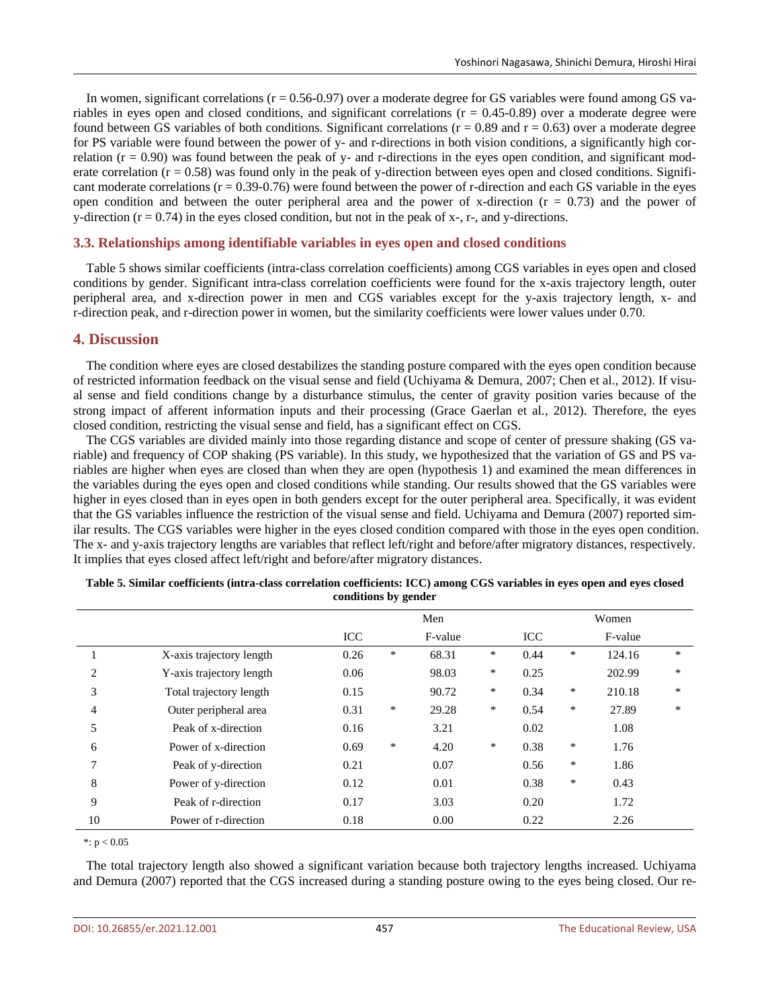In women, significant correlations ( $r = 0.56-0.97$ ) over a moderate degree for GS variables were found among GS variables in eyes open and closed conditions, and significant correlations  $(r = 0.45-0.89)$  over a moderate degree were found between GS variables of both conditions. Significant correlations ( $r = 0.89$  and  $r = 0.63$ ) over a moderate degree for PS variable were found between the power of y- and r-directions in both vision conditions, a significantly high correlation  $(r = 0.90)$  was found between the peak of y- and r-directions in the eyes open condition, and significant moderate correlation  $(r = 0.58)$  was found only in the peak of y-direction between eyes open and closed conditions. Significant moderate correlations  $(r = 0.39 - 0.76)$  were found between the power of r-direction and each GS variable in the eyes open condition and between the outer peripheral area and the power of x-direction ( $r = 0.73$ ) and the power of y-direction  $(r = 0.74)$  in the eyes closed condition, but not in the peak of x-, r-, and y-directions.

# **3.3. Relationships among identifiable variables in eyes open and closed conditions**

Table 5 shows similar coefficients (intra-class correlation coefficients) among CGS variables in eyes open and closed conditions by gender. Significant intra-class correlation coefficients were found for the x-axis trajectory length, outer peripheral area, and x-direction power in men and CGS variables except for the y-axis trajectory length, x- and r-direction peak, and r-direction power in women, but the similarity coefficients were lower values under 0.70.

# **4. Discussion**

The condition where eyes are closed destabilizes the standing posture compared with the eyes open condition because of restricted information feedback on the visual sense and field (Uchiyama & Demura, 2007; Chen et al., 2012). If visual sense and field conditions change by a disturbance stimulus, the center of gravity position varies because of the strong impact of afferent information inputs and their processing (Grace Gaerlan et al., 2012). Therefore, the eyes closed condition, restricting the visual sense and field, has a significant effect on CGS.

The CGS variables are divided mainly into those regarding distance and scope of center of pressure shaking (GS variable) and frequency of COP shaking (PS variable). In this study, we hypothesized that the variation of GS and PS variables are higher when eyes are closed than when they are open (hypothesis 1) and examined the mean differences in the variables during the eyes open and closed conditions while standing. Our results showed that the GS variables were higher in eyes closed than in eyes open in both genders except for the outer peripheral area. Specifically, it was evident that the GS variables influence the restriction of the visual sense and field. Uchiyama and Demura (2007) reported similar results. The CGS variables were higher in the eyes closed condition compared with those in the eyes open condition. The x- and y-axis trajectory lengths are variables that reflect left/right and before/after migratory distances, respectively. It implies that eyes closed affect left/right and before/after migratory distances.

|                |                          |      |        | Men     |        |      | Women  |        |   |  |  |  |
|----------------|--------------------------|------|--------|---------|--------|------|--------|--------|---|--|--|--|
|                |                          | ICC  |        | F-value |        | ICC  |        |        |   |  |  |  |
|                | X-axis trajectory length | 0.26 | $\ast$ | 68.31   | $\ast$ | 0.44 | ∗      | 124.16 | * |  |  |  |
| 2              | Y-axis trajectory length | 0.06 |        | 98.03   | ∗      | 0.25 |        | 202.99 | * |  |  |  |
| 3              | Total trajectory length  | 0.15 |        | 90.72   | ∗      | 0.34 | ∗      | 210.18 | * |  |  |  |
| $\overline{4}$ | Outer peripheral area    | 0.31 | $\ast$ | 29.28   | ∗      | 0.54 | ∗      | 27.89  | * |  |  |  |
| 5              | Peak of x-direction      | 0.16 |        | 3.21    |        | 0.02 |        | 1.08   |   |  |  |  |
| 6              | Power of x-direction     | 0.69 | $\ast$ | 4.20    | $\ast$ | 0.38 | $\ast$ | 1.76   |   |  |  |  |
| 7              | Peak of y-direction      | 0.21 |        | 0.07    |        | 0.56 | $\ast$ | 1.86   |   |  |  |  |
| 8              | Power of y-direction     | 0.12 |        | 0.01    |        | 0.38 | $\ast$ | 0.43   |   |  |  |  |
| 9              | Peak of r-direction      | 0.17 |        | 3.03    |        | 0.20 |        | 1.72   |   |  |  |  |
| 10             | Power of r-direction     | 0.18 |        | 0.00    |        | 0.22 |        | 2.26   |   |  |  |  |

| Table 5. Similar coefficients (intra-class correlation coefficients: ICC) among CGS variables in eyes open and eyes closed |
|----------------------------------------------------------------------------------------------------------------------------|
| conditions by gender                                                                                                       |

\*:  $p < 0.05$ 

The total trajectory length also showed a significant variation because both trajectory lengths increased. Uchiyama and Demura (2007) reported that the CGS increased during a standing posture owing to the eyes being closed. Our re-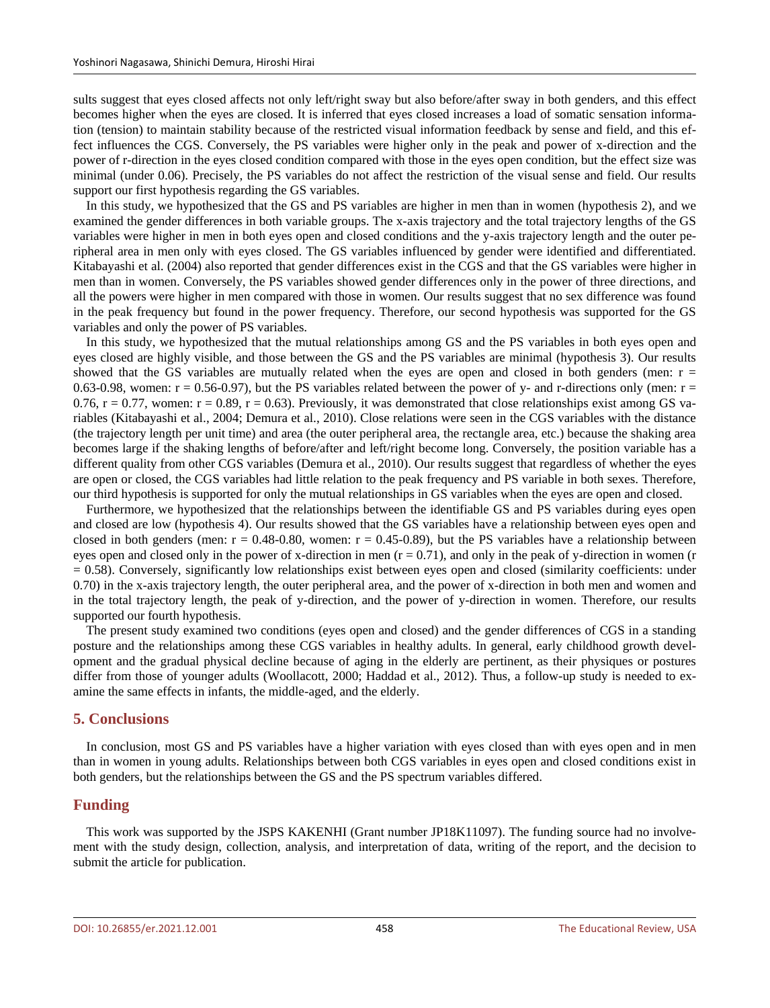sults suggest that eyes closed affects not only left/right sway but also before/after sway in both genders, and this effect becomes higher when the eyes are closed. It is inferred that eyes closed increases a load of somatic sensation information (tension) to maintain stability because of the restricted visual information feedback by sense and field, and this effect influences the CGS. Conversely, the PS variables were higher only in the peak and power of x-direction and the power of r-direction in the eyes closed condition compared with those in the eyes open condition, but the effect size was minimal (under 0.06). Precisely, the PS variables do not affect the restriction of the visual sense and field. Our results support our first hypothesis regarding the GS variables.

In this study, we hypothesized that the GS and PS variables are higher in men than in women (hypothesis 2), and we examined the gender differences in both variable groups. The x-axis trajectory and the total trajectory lengths of the GS variables were higher in men in both eyes open and closed conditions and the y-axis trajectory length and the outer peripheral area in men only with eyes closed. The GS variables influenced by gender were identified and differentiated. Kitabayashi et al. (2004) also reported that gender differences exist in the CGS and that the GS variables were higher in men than in women. Conversely, the PS variables showed gender differences only in the power of three directions, and all the powers were higher in men compared with those in women. Our results suggest that no sex difference was found in the peak frequency but found in the power frequency. Therefore, our second hypothesis was supported for the GS variables and only the power of PS variables.

In this study, we hypothesized that the mutual relationships among GS and the PS variables in both eyes open and eyes closed are highly visible, and those between the GS and the PS variables are minimal (hypothesis 3). Our results showed that the GS variables are mutually related when the eyes are open and closed in both genders (men:  $r =$ 0.63-0.98, women:  $r = 0.56$ -0.97), but the PS variables related between the power of y- and r-directions only (men:  $r =$ 0.76,  $r = 0.77$ , women:  $r = 0.89$ ,  $r = 0.63$ ). Previously, it was demonstrated that close relationships exist among GS variables (Kitabayashi et al., 2004; Demura et al., 2010). Close relations were seen in the CGS variables with the distance (the trajectory length per unit time) and area (the outer peripheral area, the rectangle area, etc.) because the shaking area becomes large if the shaking lengths of before/after and left/right become long. Conversely, the position variable has a different quality from other CGS variables (Demura et al., 2010). Our results suggest that regardless of whether the eyes are open or closed, the CGS variables had little relation to the peak frequency and PS variable in both sexes. Therefore, our third hypothesis is supported for only the mutual relationships in GS variables when the eyes are open and closed.

Furthermore, we hypothesized that the relationships between the identifiable GS and PS variables during eyes open and closed are low (hypothesis 4). Our results showed that the GS variables have a relationship between eyes open and closed in both genders (men:  $r = 0.48{\text -}0.80$ , women:  $r = 0.45{\text -}0.89$ ), but the PS variables have a relationship between eyes open and closed only in the power of x-direction in men  $(r = 0.71)$ , and only in the peak of y-direction in women (r  $= 0.58$ ). Conversely, significantly low relationships exist between eyes open and closed (similarity coefficients: under 0.70) in the x-axis trajectory length, the outer peripheral area, and the power of x-direction in both men and women and in the total trajectory length, the peak of y-direction, and the power of y-direction in women. Therefore, our results supported our fourth hypothesis.

The present study examined two conditions (eyes open and closed) and the gender differences of CGS in a standing posture and the relationships among these CGS variables in healthy adults. In general, early childhood growth development and the gradual physical decline because of aging in the elderly are pertinent, as their physiques or postures differ from those of younger adults (Woollacott, 2000; Haddad et al., 2012). Thus, a follow-up study is needed to examine the same effects in infants, the middle-aged, and the elderly.

#### **5. Conclusions**

In conclusion, most GS and PS variables have a higher variation with eyes closed than with eyes open and in men than in women in young adults. Relationships between both CGS variables in eyes open and closed conditions exist in both genders, but the relationships between the GS and the PS spectrum variables differed.

#### **Funding**

This work was supported by the JSPS KAKENHI (Grant number JP18K11097). The funding source had no involvement with the study design, collection, analysis, and interpretation of data, writing of the report, and the decision to submit the article for publication.